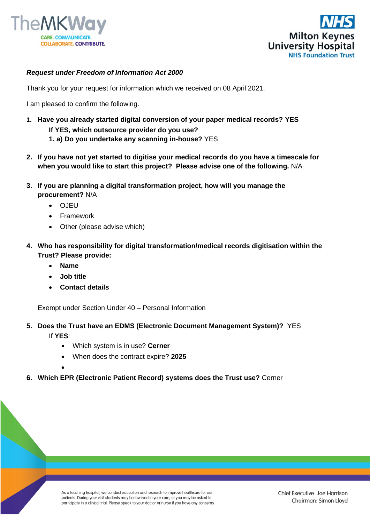



## *Request under Freedom of Information Act 2000*

Thank you for your request for information which we received on 08 April 2021.

I am pleased to confirm the following.

- **1. Have you already started digital conversion of your paper medical records? YES If YES, which outsource provider do you use?**
	- **1. a) Do you undertake any scanning in-house?** YES
- **2. If you have not yet started to digitise your medical records do you have a timescale for when you would like to start this project? Please advise one of the following.** N/A
- **3. If you are planning a digital transformation project, how will you manage the procurement?** N/A
	- OJEU
	- **Framework**
	- Other (please advise which)
- **4. Who has responsibility for digital transformation/medical records digitisation within the Trust? Please provide:**
	- **Name**
	- **Job title**
	- **Contact details**

Exempt under Section Under 40 – Personal Information

- **5. Does the Trust have an EDMS (Electronic Document Management System)?** YES If **YES**:
	- Which system is in use? **Cerner**
	- When does the contract expire? **2025**
	- •
- **6. Which EPR (Electronic Patient Record) systems does the Trust use?** Cerner

As a teaching hospital, we conduct education and research to improve healthcare for our patients. During your visit students may be involved in your care, or you may be asked to participate in a clinical trial. Please speak to your doctor or nurse if you have any concerns.